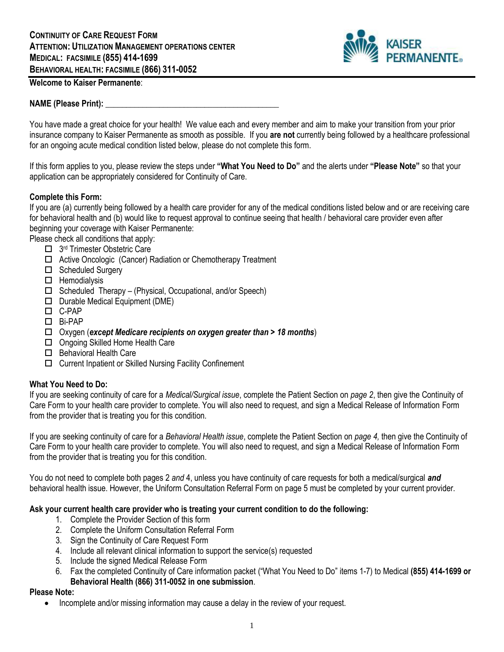

## **Welcome to Kaiser Permanente**:

### **NAME (Please Print): \_\_\_\_\_\_\_\_\_\_\_\_\_\_\_\_\_\_\_\_\_\_\_\_\_\_\_\_\_\_\_\_\_\_\_\_\_\_\_\_\_\_**

You have made a great choice for your health! We value each and every member and aim to make your transition from your prior insurance company to Kaiser Permanente as smooth as possible. If you **are not** currently being followed by a healthcare professional for an ongoing acute medical condition listed below, please do not complete this form.

If this form applies to you, please review the steps under **"What You Need to Do"** and the alerts under **"Please Note"** so that your application can be appropriately considered for Continuity of Care.

### **Complete this Form:**

If you are (a) currently being followed by a health care provider for any of the medical conditions listed below and or are receiving care for behavioral health and (b) would like to request approval to continue seeing that health / behavioral care provider even after beginning your coverage with Kaiser Permanente:

Please check all conditions that apply:

- □ 3<sup>rd</sup> Trimester Obstetric Care
- □ Active Oncologic (Cancer) Radiation or Chemotherapy Treatment
- □ Scheduled Surgery
- $\Box$  Hemodialysis
- $\Box$  Scheduled Therapy (Physical, Occupational, and/or Speech)
- $\Box$  Durable Medical Equipment (DME)
- C-PAP
- Bi-PAP
- Oxygen (*except Medicare recipients on oxygen greater than > 18 months*)
- □ Ongoing Skilled Home Health Care
- Behavioral Health Care
- Current Inpatient or Skilled Nursing Facility Confinement

#### **What You Need to Do:**

If you are seeking continuity of care for a *Medical/Surgical issue*, complete the Patient Section on *page 2*, then give the Continuity of Care Form to your health care provider to complete. You will also need to request, and sign a Medical Release of Information Form from the provider that is treating you for this condition.

If you are seeking continuity of care for a *Behavioral Health issue*, complete the Patient Section on *page 4,* then give the Continuity of Care Form to your health care provider to complete. You will also need to request, and sign a Medical Release of Information Form from the provider that is treating you for this condition.

You do not need to complete both pages 2 *and* 4, unless you have continuity of care requests for both a medical/surgical *and* behavioral health issue. However, the Uniform Consultation Referral Form on page 5 must be completed by your current provider.

#### **Ask your current health care provider who is treating your current condition to do the following:**

- 1. Complete the Provider Section of this form
- 2. Complete the Uniform Consultation Referral Form
- 3. Sign the Continuity of Care Request Form
- 4. Include all relevant clinical information to support the service(s) requested
- 5. Include the signed Medical Release Form
- 6. Fax the completed Continuity of Care information packet ("What You Need to Do" items 1-7) to Medical **(855) 414-1699 or Behavioral Health (866) 311-0052 in one submission**.

### **Please Note:**

• Incomplete and/or missing information may cause a delay in the review of your request.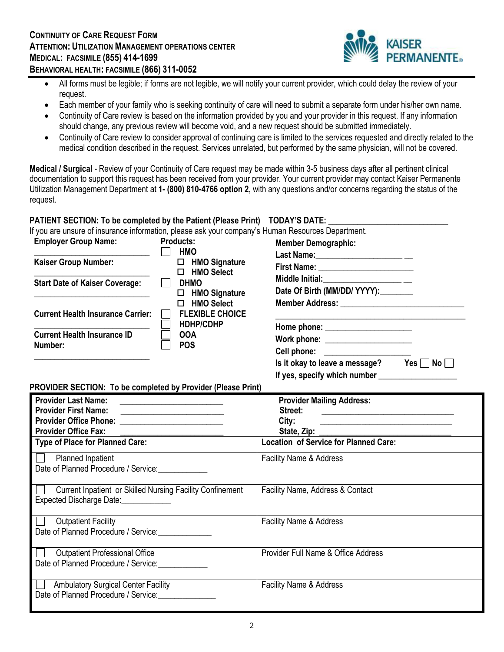

- All forms must be legible; if forms are not legible, we will notify your current provider, which could delay the review of your request.
- Each member of your family who is seeking continuity of care will need to submit a separate form under his/her own name.
- Continuity of Care review is based on the information provided by you and your provider in this request. If any information should change, any previous review will become void, and a new request should be submitted immediately.
- Continuity of Care review to consider approval of continuing care is limited to the services requested and directly related to the medical condition described in the request. Services unrelated, but performed by the same physician, will not be covered.

**Medical / Surgical** - Review of your Continuity of Care request may be made within 3-5 business days after all pertinent clinical documentation to support this request has been received from your provider. Your current provider may contact Kaiser Permanente Utilization Management Department at **1- (800) 810-4766 option 2,** with any questions and/or concerns regarding the status of the request.

# **PATIENT SECTION: To be completed by the Patient (Please Print) TODAY'S DATE:**

If you are unsure of insurance information, please ask your company's Human Resources Department.

| <b>Employer Group Name:</b>                   | <b>Products:</b><br><b>HMO</b>                                     | <b>Member Demographic:</b>                                                                                                                                                                             |  |
|-----------------------------------------------|--------------------------------------------------------------------|--------------------------------------------------------------------------------------------------------------------------------------------------------------------------------------------------------|--|
| <b>Kaiser Group Number:</b>                   | <b>HMO Signature</b><br>0<br><b>HMO Select</b><br>П                | Last Name:________________________                                                                                                                                                                     |  |
| <b>Start Date of Kaiser Coverage:</b>         | <b>DHMO</b><br><b>HMO Signature</b><br>□<br><b>HMO Select</b><br>п | Middle Initial:<br><u>_______________________</u> __<br>Date Of Birth (MM/DD/ YYYY):<br>Member Address: Universe Press and Press and Press and Press and Press and Press and Press and Press and Press |  |
| <b>Current Health Insurance Carrier:</b>      | <b>FLEXIBLE CHOICE</b><br><b>HDHP/CDHP</b>                         |                                                                                                                                                                                                        |  |
| <b>Current Health Insurance ID</b><br>Number: | <b>OOA</b><br><b>POS</b>                                           | Work phone: ______________________<br>Cell phone: <u>___________________</u><br>Is it okay to leave a message?<br>No <sub>1</sub><br>Yes I                                                             |  |

If yes, specify which number

### **PROVIDER SECTION: To be completed by Provider (Please Print)**

| <b>Provider Last Name:</b><br><b>Provider First Name:</b><br><u> 1989 - Andrea Andrew Maria (h. 1989).</u><br>Provider Office Phone: __________________________ | <b>Provider Mailing Address:</b><br>Street:<br><u> 1980 - Andrea Andrew Maria (h. 1980).</u><br>City:               |
|-----------------------------------------------------------------------------------------------------------------------------------------------------------------|---------------------------------------------------------------------------------------------------------------------|
| <b>Provider Office Fax:</b>                                                                                                                                     | <u> De la contrada de la contrada de la contrada de la contrada de la contrada de la contrada de la contrada de</u> |
| <b>Type of Place for Planned Care:</b>                                                                                                                          | <b>Location of Service for Planned Care:</b>                                                                        |
| Planned Inpatient<br>Date of Planned Procedure / Service: ___________                                                                                           | <b>Facility Name &amp; Address</b>                                                                                  |
| Current Inpatient or Skilled Nursing Facility Confinement<br>Expected Discharge Date: <b>Expected</b> Discharge Date:                                           | Facility Name, Address & Contact                                                                                    |
| <b>Outpatient Facility</b><br>Date of Planned Procedure / Service:                                                                                              | Facility Name & Address                                                                                             |
| <b>Outpatient Professional Office</b><br>Date of Planned Procedure / Service:                                                                                   | Provider Full Name & Office Address                                                                                 |
| <b>Ambulatory Surgical Center Facility</b><br>Date of Planned Procedure / Service:                                                                              | Facility Name & Address                                                                                             |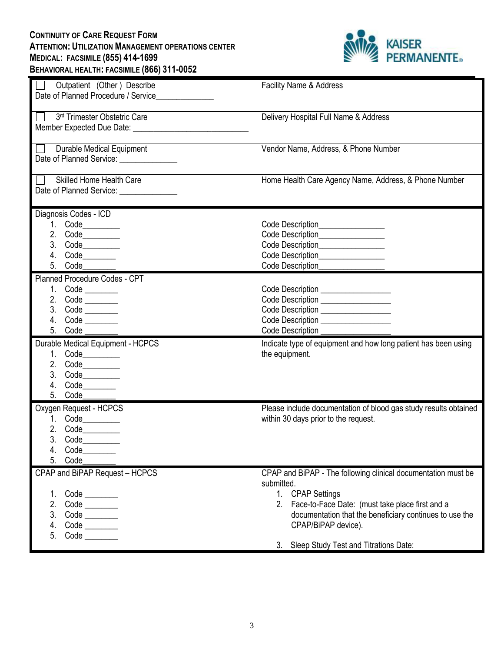# **CONTINUITY OF CARE REQUEST FORM ATTENTION: UTILIZATION MANAGEMENT OPERATIONS CENTER MEDICAL: FACSIMILE (855) 414-1699 BEHAVIORAL HEALTH: FACSIMILE (866) 311-0052**



| Outpatient (Other) Describe<br>Date of Planned Procedure / Service | Facility Name & Address                                                 |
|--------------------------------------------------------------------|-------------------------------------------------------------------------|
|                                                                    |                                                                         |
| 3rd Trimester Obstetric Care                                       | Delivery Hospital Full Name & Address                                   |
|                                                                    |                                                                         |
| $\Box$<br><b>Durable Medical Equipment</b>                         | Vendor Name, Address, & Phone Number                                    |
| Date of Planned Service: ______________                            |                                                                         |
| Skilled Home Health Care                                           | Home Health Care Agency Name, Address, & Phone Number                   |
| Date of Planned Service: ______________                            |                                                                         |
| Diagnosis Codes - ICD                                              |                                                                         |
| 1. Code________                                                    | Code Description________________                                        |
| 2. Code_________                                                   | Code Description________________                                        |
| 3. Code_________                                                   | Code Description________________                                        |
| 4. Code_________                                                   |                                                                         |
| 5. Code                                                            | Code Description________________                                        |
| Planned Procedure Codes - CPT                                      |                                                                         |
| 1. Code _______                                                    | Code Description _________________                                      |
| 2. Code _______                                                    | Code Description _________________                                      |
| 3. Code _______<br>4. Code ________                                | Code Description ________________<br>Code Description _________________ |
| 5. Code                                                            | Code Description                                                        |
| Durable Medical Equipment - HCPCS                                  | Indicate type of equipment and how long patient has been using          |
| 1. Code_________                                                   | the equipment.                                                          |
| 2. Code                                                            |                                                                         |
| 3. Code_________                                                   |                                                                         |
| 4. Code________                                                    |                                                                         |
| 5. Code                                                            |                                                                         |
| Oxygen Request - HCPCS                                             | Please include documentation of blood gas study results obtained        |
| 1. Code__________                                                  | within 30 days prior to the request.                                    |
| 2. Code__________                                                  |                                                                         |
| 3.                                                                 |                                                                         |
| Code<br>4.                                                         |                                                                         |
| 5.<br>Code                                                         |                                                                         |
| CPAP and BiPAP Request - HCPCS                                     | CPAP and BiPAP - The following clinical documentation must be           |
|                                                                    | submitted.                                                              |
| 1.                                                                 | 1. CPAP Settings                                                        |
| 2.                                                                 | 2. Face-to-Face Date: (must take place first and a                      |
| 3.                                                                 | documentation that the beneficiary continues to use the                 |
| 4.                                                                 |                                                                         |
| 5.<br>$Code$ <sub>__________</sub>                                 | CPAP/BiPAP device).                                                     |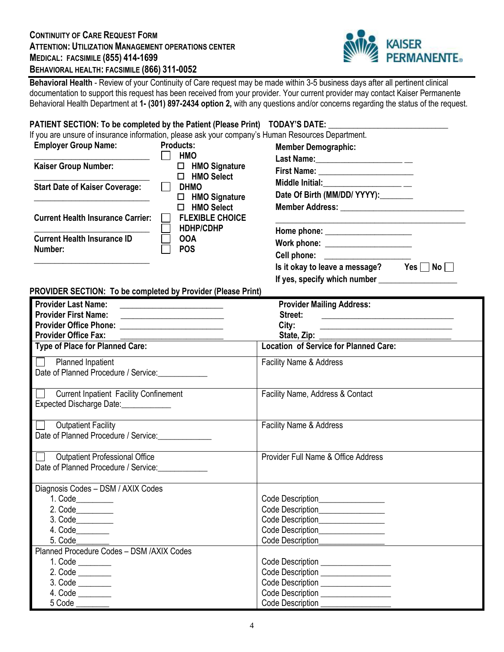## **CONTINUITY OF CARE REQUEST FORM ATTENTION: UTILIZATION MANAGEMENT OPERATIONS CENTER MEDICAL: FACSIMILE (855) 414-1699 BEHAVIORAL HEALTH: FACSIMILE (866) 311-0052**



**Behavioral Health** - Review of your Continuity of Care request may be made within 3-5 business days after all pertinent clinical documentation to support this request has been received from your provider. Your current provider may contact Kaiser Permanente Behavioral Health Department at **1- (301) 897-2434 option 2,** with any questions and/or concerns regarding the status of the request.

### **PATIENT SECTION: To be completed by the Patient (Please Print) TODAY'S DATE: \_\_\_\_\_\_\_\_\_\_\_\_\_\_\_\_\_\_\_\_\_\_\_\_\_\_\_\_\_**

|                             |                  | If you are unsure of insurance information, please ask your company's Human Resources Department. |
|-----------------------------|------------------|---------------------------------------------------------------------------------------------------|
| <b>Employer Group Name:</b> | <b>Products:</b> | <b>Member Demographic:</b>                                                                        |

| <b>LUPPORT OF OUR HULLS.</b>             | .                                              | member Demographic.                                                                                            |
|------------------------------------------|------------------------------------------------|----------------------------------------------------------------------------------------------------------------|
|                                          | <b>HMO</b>                                     | Last Name: ____________________________                                                                        |
| <b>Kaiser Group Number:</b>              | <b>HMO Signature</b><br>□<br><b>HMO Select</b> | First Name: <u>_______________________</u>                                                                     |
| <b>Start Date of Kaiser Coverage:</b>    | <b>DHMO</b>                                    | Middle Initial:<br>____________________________                                                                |
|                                          | $\Box$ HMO Signature                           | Date Of Birth (MM/DD/ YYYY):                                                                                   |
|                                          | <b>HMO Select</b>                              |                                                                                                                |
| <b>Current Health Insurance Carrier:</b> | <b>FLEXIBLE CHOICE</b>                         |                                                                                                                |
|                                          | <b>HDHP/CDHP</b>                               |                                                                                                                |
| <b>Current Health Insurance ID</b>       | <b>OOA</b>                                     | Work phone: ______________________                                                                             |
| Number:                                  | <b>POS</b>                                     | Cell phone: ____________________                                                                               |
|                                          |                                                | - 2010년 - 대한민국의 대한민국의 대한민국의 대한민국의 대한민국의 대한민국의 대한민국의 대한민국의 대한민국의 대한민국의 대한민국의 대한민국의 대한민국의 대한민국의 대한민국의 대한민국의 대한민국 |

Is it okay to leave a message? Yes  $\Box$  No  $\Box$ If yes, specify which number

**PROVIDER SECTION: To be completed by Provider (Please Print)** 

| <b>Provider Last Name:</b><br><u> 1980 - Andrea Station Barbara (h. 1980).</u> | <b>Provider Mailing Address:</b>                            |
|--------------------------------------------------------------------------------|-------------------------------------------------------------|
| <b>Provider First Name:</b><br><u> 1989 - Johann John Stein, markin f</u>      | Street:<br><u> 1989 - Johann Harrison, markin fizikar (</u> |
| Provider Office Phone: __________________________                              | City:                                                       |
| <b>Provider Office Fax:</b>                                                    |                                                             |
| Type of Place for Planned Care:                                                | <b>Location of Service for Planned Care:</b>                |
| Planned Inpatient                                                              | <b>Facility Name &amp; Address</b>                          |
| Date of Planned Procedure / Service:                                           |                                                             |
| <b>Current Inpatient Facility Confinement</b>                                  | Facility Name, Address & Contact                            |
| Expected Discharge Date:                                                       |                                                             |
| <b>Outpatient Facility</b>                                                     | Facility Name & Address                                     |
| Date of Planned Procedure / Service:                                           |                                                             |
| <b>Outpatient Professional Office</b>                                          | Provider Full Name & Office Address                         |
| Date of Planned Procedure / Service:                                           |                                                             |
| Diagnosis Codes - DSM / AXIX Codes                                             |                                                             |
| 1. Code_________                                                               | Code Description_________________                           |
| 2. Code_________                                                               | Code Description________________                            |
| 3. Code_________                                                               | Code Description________________                            |
| 4. Code________                                                                | Code Description_________________                           |
| 5. Code________                                                                | Code Description_________________                           |
| Planned Procedure Codes - DSM /AXIX Codes                                      |                                                             |
| 1. Code ________                                                               | Code Description __________________                         |
| 2. Code ________                                                               | Code Description _________________                          |
| 3. Code ________                                                               | Code Description _________________                          |
| 4. Code _______                                                                | Code Description ________________                           |
| 5 Code _______                                                                 | Code Description _______________                            |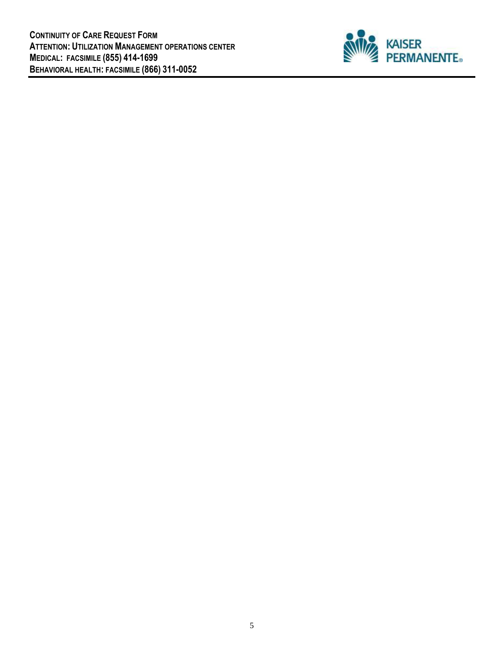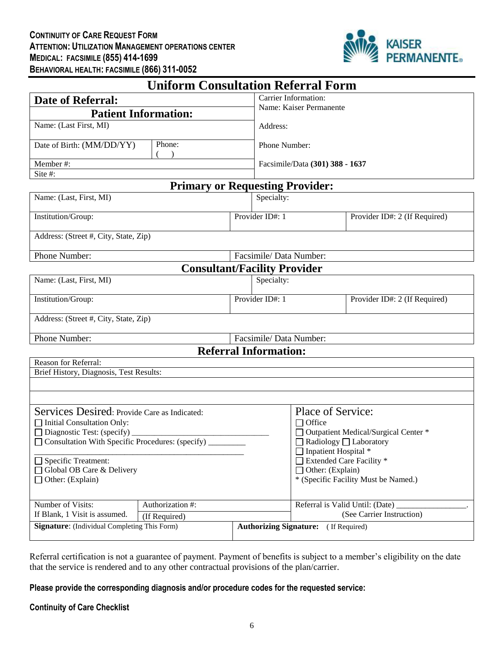

| <b>Uniform Consultation Referral Form</b>                                                                                                                                                                                                       |  |                                                                                                                                                                  |                                                                              |  |
|-------------------------------------------------------------------------------------------------------------------------------------------------------------------------------------------------------------------------------------------------|--|------------------------------------------------------------------------------------------------------------------------------------------------------------------|------------------------------------------------------------------------------|--|
| <b>Date of Referral:</b>                                                                                                                                                                                                                        |  | Carrier Information:                                                                                                                                             |                                                                              |  |
| <b>Patient Information:</b>                                                                                                                                                                                                                     |  | Name: Kaiser Permanente                                                                                                                                          |                                                                              |  |
| Name: (Last First, MI)                                                                                                                                                                                                                          |  | Address:                                                                                                                                                         |                                                                              |  |
| Phone:<br>Date of Birth: (MM/DD/YY)                                                                                                                                                                                                             |  | Phone Number:                                                                                                                                                    |                                                                              |  |
|                                                                                                                                                                                                                                                 |  |                                                                                                                                                                  |                                                                              |  |
| Member#:                                                                                                                                                                                                                                        |  | Facsimile/Data (301) 388 - 1637                                                                                                                                  |                                                                              |  |
| Site #:                                                                                                                                                                                                                                         |  | <b>Primary or Requesting Provider:</b>                                                                                                                           |                                                                              |  |
| Name: (Last, First, MI)                                                                                                                                                                                                                         |  | Specialty:                                                                                                                                                       |                                                                              |  |
| Institution/Group:                                                                                                                                                                                                                              |  | Provider ID#: 1                                                                                                                                                  | Provider ID#: 2 (If Required)                                                |  |
| Address: (Street #, City, State, Zip)                                                                                                                                                                                                           |  |                                                                                                                                                                  |                                                                              |  |
| Phone Number:                                                                                                                                                                                                                                   |  | Facsimile/Data Number:                                                                                                                                           |                                                                              |  |
|                                                                                                                                                                                                                                                 |  | <b>Consultant/Facility Provider</b>                                                                                                                              |                                                                              |  |
| Name: (Last, First, MI)                                                                                                                                                                                                                         |  | Specialty:                                                                                                                                                       |                                                                              |  |
| Institution/Group:                                                                                                                                                                                                                              |  | Provider ID#: 1                                                                                                                                                  | Provider ID#: 2 (If Required)                                                |  |
| Address: (Street #, City, State, Zip)                                                                                                                                                                                                           |  |                                                                                                                                                                  |                                                                              |  |
| Phone Number:                                                                                                                                                                                                                                   |  | Facsimile/ Data Number:                                                                                                                                          |                                                                              |  |
|                                                                                                                                                                                                                                                 |  | <b>Referral Information:</b>                                                                                                                                     |                                                                              |  |
| Reason for Referral:                                                                                                                                                                                                                            |  |                                                                                                                                                                  |                                                                              |  |
| Brief History, Diagnosis, Test Results:                                                                                                                                                                                                         |  |                                                                                                                                                                  |                                                                              |  |
|                                                                                                                                                                                                                                                 |  |                                                                                                                                                                  |                                                                              |  |
| Services Desired: Provide Care as Indicated:<br>□ Initial Consultation Only:<br>$\Box$ Diagnostic Test: (specify)<br>□ Consultation With Specific Procedures: (specify)<br>Specific Treatment:<br>Global OB Care & Delivery<br>Other: (Explain) |  | Place of Service:<br>$\Box$ Office<br>$\Box$ Radiology $\Box$ Laboratory<br>$\Box$ Inpatient Hospital $*$<br>Extended Care Facility *<br>$\Box$ Other: (Explain) | Outpatient Medical/Surgical Center *<br>* (Specific Facility Must be Named.) |  |
| Number of Visits:<br>Authorization #:                                                                                                                                                                                                           |  |                                                                                                                                                                  | Referral is Valid Until: (Date)                                              |  |
| If Blank, 1 Visit is assumed.<br>(If Required)                                                                                                                                                                                                  |  | (See Carrier Instruction)                                                                                                                                        |                                                                              |  |
| <b>Signature:</b> (Individual Completing This Form)                                                                                                                                                                                             |  | <b>Authorizing Signature:</b> (If Required)                                                                                                                      |                                                                              |  |

Referral certification is not a guarantee of payment. Payment of benefits is subject to a member's eligibility on the date that the service is rendered and to any other contractual provisions of the plan/carrier.

**Please provide the corresponding diagnosis and/or procedure codes for the requested service:**

## **Continuity of Care Checklist**